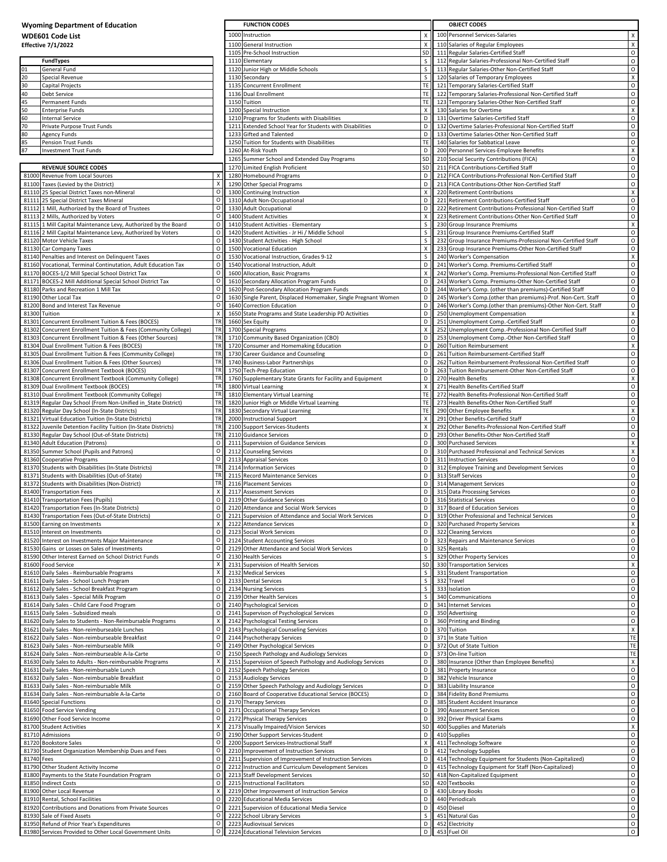| <b>Wyoming Department of Education</b><br><b>WDE601 Code List</b> |                                                                                                                               |                        | <b>FUNCTION CODES</b>                                                                         |                    |  | <b>OBJECT CODES</b>                                                                                                              |                                      |  |  |
|-------------------------------------------------------------------|-------------------------------------------------------------------------------------------------------------------------------|------------------------|-----------------------------------------------------------------------------------------------|--------------------|--|----------------------------------------------------------------------------------------------------------------------------------|--------------------------------------|--|--|
|                                                                   |                                                                                                                               |                        | 1000 Instruction                                                                              | X                  |  | 100 Personnel Services-Salaries                                                                                                  | X                                    |  |  |
|                                                                   | <b>Effective 7/1/2022</b>                                                                                                     |                        | 1100 General Instruction                                                                      |                    |  | 110 Salaries of Regular Employees                                                                                                | $\mathsf{X}$                         |  |  |
|                                                                   |                                                                                                                               |                        | 1105 Pre-School Instruction                                                                   | SD                 |  | 111 Regular Salaries-Certified Staff                                                                                             | $\circ$                              |  |  |
|                                                                   | <b>FundTypes</b>                                                                                                              |                        | 1110 Elementary                                                                               | s                  |  | 112 Regular Salaries-Professional Non-Certified Staff                                                                            | $\circ$                              |  |  |
| 01<br>20                                                          | General Fund<br>Special Revenue                                                                                               |                        | 1120 Junior High or Middle Schools<br>1130 Secondary                                          | s<br>S             |  | 113 Regular Salaries-Other Non-Certified Staff<br>120 Salaries of Temporary Employees                                            | $\circ$<br>$\pmb{\chi}$              |  |  |
| 30                                                                | Capital Projects                                                                                                              |                        | 1135 Concurrent Enrollment                                                                    | TE                 |  | 121 Temporary Salaries-Certified Staff                                                                                           | $\circ$                              |  |  |
| 40                                                                | Debt Service                                                                                                                  |                        | 1136 Dual Enrollment                                                                          | TE                 |  | 122 Temporary Salaries-Professional Non-Certified Staff                                                                          | $\circ$                              |  |  |
| 45                                                                | Permanent Funds                                                                                                               |                        | 1150 Tuition                                                                                  | <b>TE</b>          |  | 123 Temporary Salaries-Other Non-Certified Staff                                                                                 | $\circ$                              |  |  |
| 50<br>60                                                          | <b>Enterprise Funds</b><br><b>Internal Service</b>                                                                            |                        | 1200 Special Instruction<br>1210 Programs for Students with Disabilities                      | X<br>D             |  | 130 Salaries for Overtime<br>131 Overtime Salaries-Certified Staff                                                               | $\mathsf{X}$<br>$\circ$              |  |  |
| 70                                                                | Private Purpose Trust Funds                                                                                                   |                        | 1211 Extended School Year for Students with Disabilities                                      | D                  |  | 132 Overtime Salaries-Professional Non-Certified Staff                                                                           | $\circ$                              |  |  |
| 80                                                                | <b>Agency Funds</b>                                                                                                           |                        | 1233 Gifted and Talented                                                                      | D                  |  | 133 Overtime Salaries-Other Non-Certified Staff                                                                                  | $\circ$                              |  |  |
| 85                                                                | Pension Trust Funds                                                                                                           |                        | 1250 Tuition for Students with Disabilities                                                   | <b>TE</b>          |  | 140 Salaries for Sabbatical Leave                                                                                                | $\circ$                              |  |  |
| 87                                                                | <b>Investment Trust Funds</b>                                                                                                 |                        | 1260 At-Risk Youth<br>1265 Summer School and Extended Day Programs                            | D<br>SD            |  | 200 Personnel Services-Employee Benefits<br>210 Social Security Contributions (FICA)                                             | $\pmb{\chi}$<br>$\circ$              |  |  |
|                                                                   | <b>REVENUE SOURCE CODES</b>                                                                                                   |                        | 1270 Limited English Proficient                                                               | SD                 |  | 211 FICA Contributions-Certified Staff                                                                                           | $\circ$                              |  |  |
|                                                                   | 81000 Revenue from Local Sources                                                                                              | х                      | 1280 Homebound Programs                                                                       | D                  |  | 212 FICA Contributions-Professional Non-Certified Staff                                                                          | $\circ$                              |  |  |
|                                                                   | 81100 Taxes (Levied by the District)                                                                                          | $\pmb{\times}$         | 1290 Other Special Programs                                                                   | D                  |  | 213 FICA Contributions-Other Non-Certified Staff                                                                                 | $\circ$                              |  |  |
|                                                                   | 81110 25 Special District Taxes non-Mineral<br>81111 25 Special District Taxes Mineral                                        | $\circ$<br>O           | 1300 Continuing Instruction<br>1310 Adult Non-Occupational                                    | X<br>D             |  | 220 Retirement Contributions<br>221 Retirement Contributions-Certified Staff                                                     | $\boldsymbol{\mathsf{x}}$<br>$\circ$ |  |  |
|                                                                   | 81112 1 Mill, Authorized by the Board of Trustees                                                                             | $\circ$                | 1330 Adult Occupational                                                                       | D                  |  | 222 Retirement Contributions-Professional Non-Certified Staff                                                                    | $\circ$                              |  |  |
|                                                                   | 81113 2 Mills, Authorized by Voters                                                                                           | $\circ$                | 1400 Student Activities                                                                       | X                  |  | 223 Retirement Contributions-Other Non-Certified Staff                                                                           | $\circ$                              |  |  |
|                                                                   | 81115 1 Mill Capital Maintenance Levy, Authorized by the Board<br>81116 2 Mill Capital Maintenance Levy, Authorized by Voters | $\circ$<br>O           | 1410 Student Activities - Elementary<br>1420 Student Activities - Jr Hi / Middle School       | s<br>S.            |  | 230 Group Insurance Premiums<br>231 Group Insurance Premiums-Certified Staff                                                     | $\pmb{\chi}$<br>$\circ$              |  |  |
|                                                                   | 81120 Motor Vehicle Taxes                                                                                                     | $\circ$                | 1430 Student Activities - High School                                                         | s                  |  | 232 Group Insurance Premiums-Professional Non-Certified Staff                                                                    | $\circ$                              |  |  |
|                                                                   | 81130 Car Company Taxes                                                                                                       | $\circ$                | 1500 Vocational Education                                                                     | X                  |  | 233 Group Insurance Premiums-Other Non-Certified Staff                                                                           | $\circ$                              |  |  |
|                                                                   | 81140 Penalties and Interest on Delinquent Taxes                                                                              | $\circ$                | 1530 Vocational Instruction, Grades 9-12                                                      |                    |  | 240 Worker's Compensation                                                                                                        | $\pmb{\chi}$                         |  |  |
|                                                                   | 81160 Vocational, Terminal Continutation, Adult Education Tax<br>81170 BOCES-1/2 Mill Special School District Tax             | $\circ$<br>$\circ$     | 1540 Vocational Instruction, Adult<br>1600 Allocation, Basic Programs                         | D<br>X             |  | 241 Worker's Comp. Premiums-Certified Staff<br>242 Worker's Comp. Premiums-Professional Non-Certified Staff                      | $\circ$<br>$\circ$                   |  |  |
|                                                                   | 81171 BOCES-2 Mill Additional Special School District Tax                                                                     | $\circ$                | 1610 Secondary Allocation Program Funds                                                       | D                  |  | 243 Worker's Comp. Premiums-Other Non-Certified Staff                                                                            | $\circ$                              |  |  |
|                                                                   | 81180 Parks and Recreation 1 Mill Tax                                                                                         | $\circ$                | 1620 Post-Secondary Allocation Program Funds                                                  | D                  |  | 244 Worker's Comp. (other than premiums)-Certified Staff                                                                         | $\circ$                              |  |  |
|                                                                   | 81190 Other Local Tax<br>81200 Bond and Interest Tax Revenue                                                                  | $\circ$<br>$\circ$     | 1630 Single Parent, Displaced Homemaker, Single Pregnant Women<br>1640 Correction Education   | D<br>D             |  | 245 Worker's Comp. (other than premiums)-Prof. Non-Cert. Staff<br>246 Worker's Comp. (other than premiums)-Other Non-Cert. Staff | $\mathsf O$<br>$\circ$               |  |  |
|                                                                   | 81300 Tuition                                                                                                                 | X                      | 1650 State Programs and State Leadership PD Activities                                        | D                  |  | 250 Unemployment Compensation                                                                                                    | $\mathsf{X}$                         |  |  |
|                                                                   | 81301 Concurrent Enrollment Tuition & Fees (BOCES)                                                                            | <b>TR</b>              | 1660 Sex Equity                                                                               | D                  |  | 251 Unemployment Comp.-Certified Staff                                                                                           | $\circ$                              |  |  |
|                                                                   | 81302 Concurrent Enrollment Tuition & Fees (Community College)                                                                | TR                     | 1700 Special Programs                                                                         | X                  |  | 252 Unemployment Comp.-Professional Non-Certified Staff                                                                          | $\circ$                              |  |  |
|                                                                   | 81303 Concurrent Enrollment Tuition & Fees (Other Sources)<br>81304 Dual Enrollment Tuition & Fees (BOCES)                    | TR<br><b>TR</b>        | 1710 Community Based Organization (CBO)<br>1720 Consumer and Homemaking Education             | D<br>D             |  | 253 Unemployment Comp.-Other Non-Certified Staff<br>260 Tuition Reimbursement                                                    | $\circ$<br>$\mathsf{X}$              |  |  |
|                                                                   | 81305 Dual Enrollment Tuition & Fees (Community College)                                                                      | <b>TR</b>              | 1730 Career Guidance and Counseling                                                           | D                  |  | 261 Tuition Reimbursement-Certified Staff                                                                                        | $\circ$                              |  |  |
|                                                                   | 81306 Dual Enrollment Tuition & Fees (Other Sources)                                                                          |                        | 1740 Business-Labor Partnerships                                                              | D                  |  | 262 Tuition Reimbursement-Professional Non-Certified Staff                                                                       | $\circ$                              |  |  |
| 81307                                                             | Concurrent Enrollment Textbook (BOCES)                                                                                        | TF<br>TR               | 1750 Tech-Prep Education                                                                      | D                  |  | 263 Tuition Reimbursement-Other Non-Certified Staff                                                                              | $\circ$                              |  |  |
|                                                                   | 81308 Concurrent Enrollment Textbook (Community College)<br>81309 Dual Enrollment Textbook (BOCES)                            | <b>TR</b>              | 1760 Supplementary State Grants for Facility and Equipment<br>1800 Virtual Learning           | D<br>X             |  | 270 Health Benefits<br>271 Health Benefits-Certified Staff                                                                       | $\pmb{\chi}$<br>$\circ$              |  |  |
|                                                                   | 81310 Dual Enrollment Textbook (Community College)                                                                            | TR                     | 1810 Elementary Virtual Learning                                                              | TE                 |  | 272 Health Benefits-Professional Non-Certified Staff                                                                             | $\circ$                              |  |  |
|                                                                   | 81319 Regular Day School (From Non-Unified in_State District)                                                                 | TF                     | 1820 Junior High or Middle Virtual Learning                                                   | TE                 |  | 273 Health Benefits-Other Non-Certified Staff                                                                                    | $\circ$                              |  |  |
|                                                                   | 81320 Regular Day School (In-State Districts)<br>81321 Virtual Education Tuition (In-State Districts)                         | TF<br><b>TR</b>        | 1830 Secondary Virtual Learning<br>2000 Instructional Support                                 | TE<br>$\times$     |  | 290 Other Employee Benefits<br>291 Other Benefits-Certified Staff                                                                | $\mathsf{X}$<br>$\circ$              |  |  |
|                                                                   | 81322 Juvenile Detention Facility Tuition (In-State Districts)                                                                | TF                     | 2100 Support Services-Students                                                                | X                  |  | 292 Other Benefits-Professional Non-Certified Staff                                                                              | $\circ$                              |  |  |
|                                                                   | 81330 Regular Day School (Out-of-State Districts)                                                                             | TF                     | 2110 Guidance Services                                                                        | D                  |  | 293 Other Benefits-Other Non-Certified Staff                                                                                     | $\circ$                              |  |  |
|                                                                   | 81340 Adult Education (Patrons)                                                                                               | $\circ$                | 2111 Supervision of Guidance Services                                                         | D                  |  | 300 Purchased Services                                                                                                           | $\pmb{\chi}$                         |  |  |
|                                                                   | 81350 Summer School (Pupils and Patrons)<br>81360 Cooperative Programs                                                        | $\circ$<br>$\circ$     | 2112 Counseling Services<br>2113 Appraisal Services                                           | $\mathsf{D}$<br>D  |  | 310 Purchased Professional and Technical Services<br>311 Instruction Services                                                    | $\mathsf{X}$<br>$\circ$              |  |  |
|                                                                   | 81370 Students with Disabilities (In-State Districts)                                                                         | TR                     | 2114 Information Services                                                                     | D                  |  | 312 Employee Training and Development Services                                                                                   | $\circ$                              |  |  |
| 81371                                                             | Students with Disabilities (Out-of-State)                                                                                     | TR                     | 2115 Record Maintenance Services                                                              | D                  |  | 313 Staff Services                                                                                                               | $\circ$                              |  |  |
|                                                                   | 81372 Students with Disabilities (Non-District)                                                                               | <b>TR</b><br>Х         | 2116 Placement Services<br>2117 Assessment Services                                           | D<br>D             |  | 314 Management Services<br>315 Data Processing Services                                                                          | $\circ$<br>$\circ$                   |  |  |
|                                                                   | 81400 Transportation Fees<br>81410 Transportation Fees (Pupils)                                                               | $\circ$                | 2119 Other Guidance Services                                                                  | D                  |  | 316 Statistical Services                                                                                                         | $\circ$                              |  |  |
|                                                                   | 81420 Transportation Fees (In-State Districts)                                                                                | $\circ$ $\blacksquare$ | 2120 Attendance and Social Work Services                                                      | $\mathsf{D}$       |  | 317 Board of Education Services                                                                                                  | $\circ$                              |  |  |
|                                                                   | 81430 Transportation Fees (Out-of-State Districts)<br>81500 Earning on Investments                                            | $\circ$<br>$\times$    | 2121 Supervision of Attendance and Social Work Services<br>2122 Attendance Services           | $\mathsf{D}$<br>D. |  | 319 Other Professional and Technical Services<br>320 Purchased Property Services                                                 | $\circ$<br>$\,$ X                    |  |  |
|                                                                   | 81510 Interest on Investments                                                                                                 | $\circ$                | 2123 Social Work Services                                                                     | $\mathsf D$        |  | 322 Cleaning Services                                                                                                            | $\circ$                              |  |  |
|                                                                   | 81520 Interest on Investments Major Maintenance                                                                               | $\circ$                | 2124 Student Accounting Services                                                              | D.                 |  | 323 Repairs and Maintenance Services                                                                                             | $\circ$                              |  |  |
|                                                                   | 81530 Gains or Losses on Sales of Investments                                                                                 | $\circ$                | 2129 Other Attendance and Social Work Services                                                | D                  |  | 325 Rentals                                                                                                                      | $\circ$                              |  |  |
|                                                                   | 81590 Other Interest Earned on School District Funds<br>81600 Food Service                                                    | $\circ$<br>X           | 2130 Health Services<br>2131 Supervision of Health Services                                   | S.<br>SD           |  | 329 Other Property Services<br>330 Transportation Services                                                                       | $\circ$<br>$\mathsf{X}$              |  |  |
|                                                                   | 81610 Daily Sales - Reimbursable Programs                                                                                     | x                      | 2132 Medical Services                                                                         | S                  |  | 331 Student Transportation                                                                                                       | $\circ$                              |  |  |
|                                                                   | 81611 Daily Sales - School Lunch Program                                                                                      | $\circ$                | 2133 Dental Services                                                                          | s                  |  | 332 Travel                                                                                                                       | $\circ$                              |  |  |
|                                                                   | 81612 Daily Sales - School Breakfast Program<br>81613 Daily Sales - Special Milk Program                                      | $\circ$<br>$\circ$     | 2134 Nursing Services<br>2139 Other Health Services                                           | S<br>s             |  | 333 Isolation<br>340 Communications                                                                                              | $\circ$<br>$\circ$                   |  |  |
|                                                                   | 81614 Daily Sales - Child Care Food Program                                                                                   | $\circ$                | 2140 Psychological Services                                                                   | D                  |  | 341 Internet Services                                                                                                            | $\circ$                              |  |  |
|                                                                   | 81615 Daily Sales - Subsidized meals                                                                                          | $\circ$                | 2141 Supervison of Psychological Services                                                     | D                  |  | 350 Advertising                                                                                                                  | $\circ$                              |  |  |
|                                                                   | 81620 Daily Sales to Students - Non-Reimbursable Programs                                                                     | X                      | 2142 Psychological Testing Services                                                           | $\mathsf{D}$       |  | 360 Printing and Binding                                                                                                         | $\circ$                              |  |  |
|                                                                   | 81621 Daily Sales - Non-reimburseable Lunches<br>81622 Daily Sales - Non-reimburseable Breakfast                              | $\circ$<br>O           | 2143 Psychological Counseling Services<br>2144 Psychotherapy Services                         | D<br>D             |  | 370 Tuition<br>371 In State Tuition                                                                                              | $\mathsf{X}$<br>TE                   |  |  |
|                                                                   | 81623 Daily Sales - Non-reimburseable Milk                                                                                    | $\circ$                | 2149 Other Psychological Services                                                             | D                  |  | 372 Out of State Tuition                                                                                                         | TE                                   |  |  |
|                                                                   | 81624 Daily Sales - Non-reimburseable A-la-Carte                                                                              | $\circ$                | 2150 Speech Pathology and Audiology Services                                                  | D                  |  | 373 On-line Tuition                                                                                                              | TE                                   |  |  |
|                                                                   | 81630 Daily Sales to Adults - Non-reimbursable Programs<br>81631 Daily Sales - Non-reimbursable Lunch                         | X<br>$\circ$           | 2151 Supervision of Speech Pathology and Audiology Services<br>2152 Speech Pathology Services | D<br>D             |  | 380 Insurance (Other than Employee Benefits)<br>381 Property Insurance                                                           | $\pmb{\chi}$<br>$\circ$              |  |  |
|                                                                   | 81632 Daily Sales - Non-reimbursable Breakfast                                                                                | $\circ$                | 2153 Audiology Services                                                                       | D                  |  | 382 Vehicle Insurance                                                                                                            | $\circ$                              |  |  |
|                                                                   | 81633 Daily Sales - Non-reimbursable Milk                                                                                     | $\circ$                | 2159 Other Speech Pathology and Audiology Services                                            | D                  |  | 383 Liability Insurance                                                                                                          | $\circ$                              |  |  |
|                                                                   | 81634 Daily Sales - Non-reimbursable A-la-Carte                                                                               | $\circ$                | 2160 Board of Cooperative Educational Service (BOCES)                                         | D                  |  | 384 Fidelity Bond Premiums                                                                                                       | $\circ$                              |  |  |
|                                                                   | 81640 Special Functions<br>81650 Food Service Vending                                                                         | $\circ$<br>$\circ$     | 2170 Therapy Services<br>2171 Occupational Therapy Services                                   | D<br>D             |  | 385 Student Accident Insurance<br>390 Assessment Services                                                                        | $\circ$<br>$\circ$                   |  |  |
|                                                                   | 81690 Other Food Service Income                                                                                               | $\circ$                | 2172 Physical Therapy Services                                                                | D                  |  | 392 Driver Physical Exams                                                                                                        | $\circ$                              |  |  |
|                                                                   | 81700 Student Activities                                                                                                      | Х                      | 2173 Visually Impaired/Vision Services                                                        | SD                 |  | 400 Supplies and Materials                                                                                                       | $\,$ X                               |  |  |
|                                                                   | 81710 Admissions                                                                                                              | $\circ$<br>$\circ$     | 2190 Other Support Services-Student                                                           | D<br>X             |  | 410 Supplies                                                                                                                     | $\circ$<br>$\circ$                   |  |  |
|                                                                   | 81720 Bookstore Sales<br>81730 Student Organization Membership Dues and Fees                                                  | $\circ$                | 2200 Support Services-Instructional Staff<br>2210 Improvement of Instruction Services         | D                  |  | 411 Technology Software<br>412 Technology Supplies                                                                               | $\circ$                              |  |  |
| 81740 Fees                                                        |                                                                                                                               | $\circ$                | 2211 Supervision of Improvement of Instruction Services                                       | D                  |  | 414 Technology Equipment for Students (Non-Capitalized)                                                                          | $\circ$                              |  |  |
|                                                                   | 81790 Other Student Activity Income                                                                                           | $\circ$                | 2212 Instruction and Curriculum Development Services                                          | D                  |  | 415 Technology Equipment for Staff (Non-Capitalized)                                                                             | $\circ$                              |  |  |
|                                                                   | 81800 Payments to the State Foundation Program<br>81850 Indirect Costs                                                        | $\circ$<br>$\circ$     | 2213 Staff Development Services<br>2215 Instructional Facilitators                            | SD<br>SD           |  | 418 Non-Capitalized Equipment<br>420 Textbooks                                                                                   | $\circ$<br>$\circ$                   |  |  |
|                                                                   | 81900 Other Local Revenue                                                                                                     | $\pmb{\times}$         | 2219 Other Improvement of Instruction Service                                                 | D                  |  | 430 Library Books                                                                                                                | $\circ$                              |  |  |
|                                                                   | 81910 Rental, School Facilities                                                                                               | $\circ$                | 2220 Educational Media Services                                                               | D                  |  | 440 Periodicals                                                                                                                  | $\circ$                              |  |  |
|                                                                   | 81920 Contributions and Donations from Private Sources                                                                        | O<br>$\circ$           | 2221 Supervision of Educational Media Service                                                 | D                  |  | 450 Diesel                                                                                                                       | $\circ$                              |  |  |
|                                                                   | 81930 Sale of Fixed Assets<br>81950 Refund of Prior Year's Expenditures                                                       | $\circ$                | 2222 School Library Services<br>2223 Audiovisual Services                                     | s<br>$\mathsf D$   |  | 451 Natural Gas<br>452 Electricity                                                                                               | $\circ$<br>$\circ$                   |  |  |
|                                                                   | 81980 Services Provided to Other Local Government Units                                                                       | $\circ$                | 2224 Educational Television Services                                                          | D                  |  | 453 Fuel Oil                                                                                                                     | $\circ$                              |  |  |